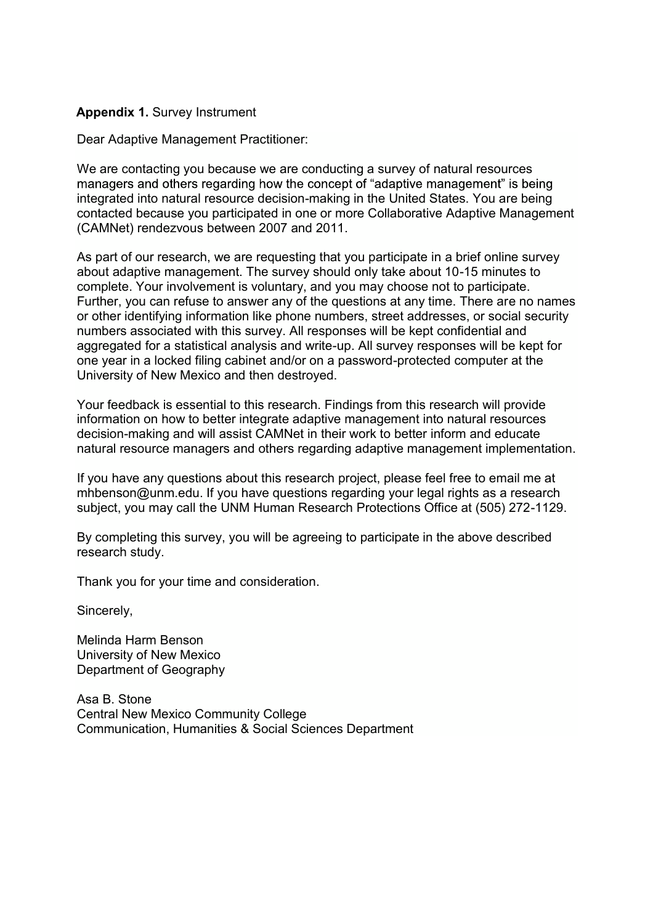#### Appendix A: Survey Instrument **Appendix 1.** Survey Instrument

Dear Adaptive Management Practitioner:

We are contacting you because we are conducting a survey of natural resources managers and others regarding how the concept of "adaptive management" is being integrated into natural resource decision-making in the United States. You are being contacted because you participated in one or more Collaborative Adaptive Management (CAMNet) rendezvous between 2007 and 2011.

As part of our research, we are requesting that you participate in a brief online survey about adaptive management. The survey should only take about 10-15 minutes to complete. Your involvement is voluntary, and you may choose not to participate. Further, you can refuse to answer any of the questions at any time. There are no names or other identifying information like phone numbers, street addresses, or social security numbers associated with this survey. All responses will be kept confidential and aggregated for a statistical analysis and write-up. All survey responses will be kept for one year in a locked filing cabinet and/or on a password-protected computer at the University of New Mexico and then destroyed.

Your feedback is essential to this research. Findings from this research will provide information on how to better integrate adaptive management into natural resources decision-making and will assist CAMNet in their work to better inform and educate natural resource managers and others regarding adaptive management implementation.

If you have any questions about this research project, please feel free to email me at mhbenson@unm.edu. If you have questions regarding your legal rights as a research subject, you may call the UNM Human Research Protections Office at (505) 272-1129.

By completing this survey, you will be agreeing to participate in the above described research study.

Thank you for your time and consideration.

Sincerely,

Melinda Harm Benson University of New Mexico Department of Geography

Asa B. Stone Central New Mexico Community College Communication, Humanities & Social Sciences Department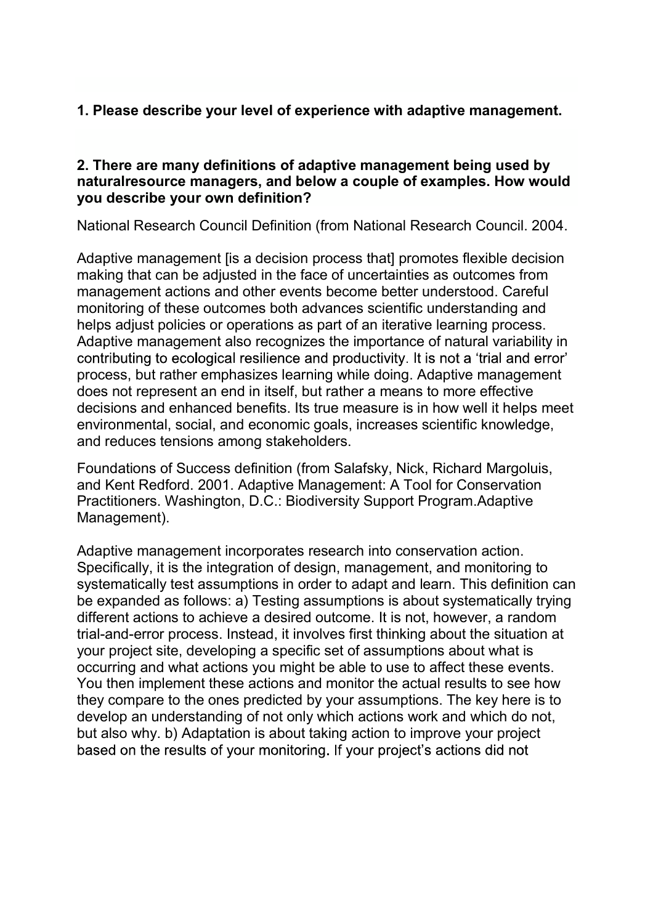# **1. Please describe your level of experience with adaptive management.**

### **2. There are many definitions of adaptive management being used by naturalresource managers, and below a couple of examples. How would you describe your own definition?**

National Research Council Definition (from National Research Council. 2004.

Adaptive management lis a decision process that promotes flexible decision making that can be adjusted in the face of uncertainties as outcomes from management actions and other events become better understood. Careful monitoring of these outcomes both advances scientific understanding and helps adjust policies or operations as part of an iterative learning process. Adaptive management also recognizes the importance of natural variability in contributing to ecological resilience and productivity. It is not a 'trial and error' process, but rather emphasizes learning while doing. Adaptive management does not represent an end in itself, but rather a means to more effective decisions and enhanced benefits. Its true measure is in how well it helps meet environmental, social, and economic goals, increases scientific knowledge, and reduces tensions among stakeholders.

Foundations of Success definition (from Salafsky, Nick, Richard Margoluis, and Kent Redford. 2001. Adaptive Management: A Tool for Conservation Practitioners. Washington, D.C.: Biodiversity Support Program.Adaptive Management).

Adaptive management incorporates research into conservation action. Specifically, it is the integration of design, management, and monitoring to systematically test assumptions in order to adapt and learn. This definition can be expanded as follows: a) Testing assumptions is about systematically trying different actions to achieve a desired outcome. It is not, however, a random trial-and-error process. Instead, it involves first thinking about the situation at your project site, developing a specific set of assumptions about what is occurring and what actions you might be able to use to affect these events. You then implement these actions and monitor the actual results to see how they compare to the ones predicted by your assumptions. The key here is to develop an understanding of not only which actions work and which do not, but also why. b) Adaptation is about taking action to improve your project based on the results of your monitoring. If your project's actions did not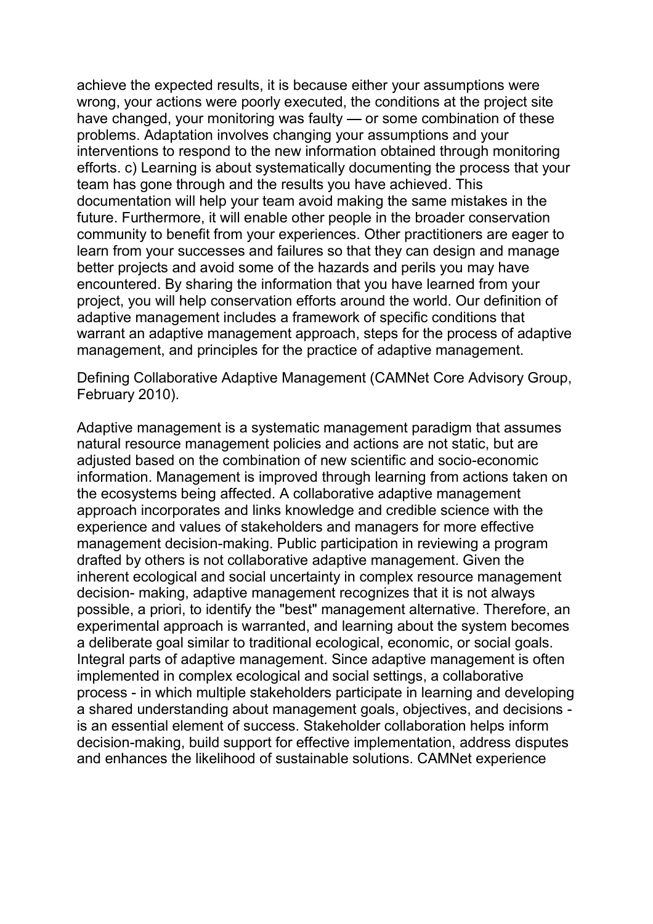achieve the expected results, it is because either your assumptions were wrong, your actions were poorly executed, the conditions at the project site have changed, your monitoring was faulty  $\sim$  or some combination of these problems. Adaptation involves changing your assumptions and your interventions to respond to the new information obtained through monitoring efforts. c) Learning is about systematically documenting the process that your team has gone through and the results you have achieved. This documentation will help your team avoid making the same mistakes in the future. Furthermore, it will enable other people in the broader conservation community to benefit from your experiences. Other practitioners are eager to learn from your successes and failures so that they can design and manage better projects and avoid some of the hazards and perils you may have encountered. By sharing the information that you have learned from your project, you will help conservation efforts around the world. Our definition of adaptive management includes a framework of specific conditions that warrant an adaptive management approach, steps for the process of adaptive management, and principles for the practice of adaptive management.

Defining Collaborative Adaptive Management (CAMNet Core Advisory Group, February 2010).

Adaptive management is a systematic management paradigm that assumes natural resource management policies and actions are not static, but are adjusted based on the combination of new scientific and socio-economic information. Management is improved through learning from actions taken on the ecosystems being affected. A collaborative adaptive management approach incorporates and links knowledge and credible science with the experience and values of stakeholders and managers for more effective management decision-making. Public participation in reviewing a program drafted by others is not collaborative adaptive management. Given the inherent ecological and social uncertainty in complex resource management decision- making, adaptive management recognizes that it is not always possible, a priori, to identify the "best" management alternative. Therefore, an experimental approach is warranted, and learning about the system becomes a deliberate goal similar to traditional ecological, economic, or social goals. Integral parts of adaptive management. Since adaptive management is often implemented in complex ecological and social settings, a collaborative process - in which multiple stakeholders participate in learning and developing a shared understanding about management goals, objectives, and decisions is an essential element of success. Stakeholder collaboration helps inform decision-making, build support for effective implementation, address disputes and enhances the likelihood of sustainable solutions. CAMNet experience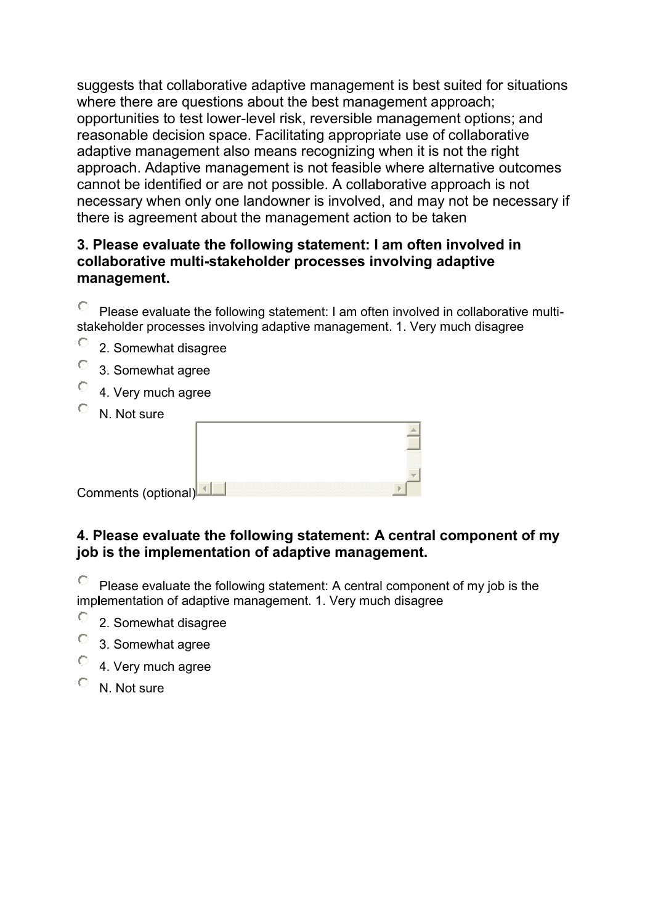suggests that collaborative adaptive management is best suited for situations where there are questions about the best management approach; opportunities to test lower-level risk, reversible management options; and reasonable decision space. Facilitating appropriate use of collaborative adaptive management also means recognizing when it is not the right approach. Adaptive management is not feasible where alternative outcomes cannot be identified or are not possible. A collaborative approach is not necessary when only one landowner is involved, and may not be necessary if there is agreement about the management action to be taken

### **3. Please evaluate the following statement: I am often involved in collaborative multi-stakeholder processes involving adaptive management.**

 $\circ$ Please evaluate the following statement: I am often involved in collaborative multistakeholder processes involving adaptive management. 1. Very much disagree

- O 2. Somewhat disagree
- О 3. Somewhat agree
- $\circ$ 4. Very much agree
- $\circ$ N. Not sure

| Comments (optional)L |  |
|----------------------|--|

### **4. Please evaluate the following statement: A central component of my job is the implementation of adaptive management.**

Please evaluate the following statement: A central component of my job is the implementation of adaptive management. 1. Very much disagree

- $\bigcirc$ 2. Somewhat disagree
- О 3. Somewhat agree
- О 4. Very much agree
- О N. Not sure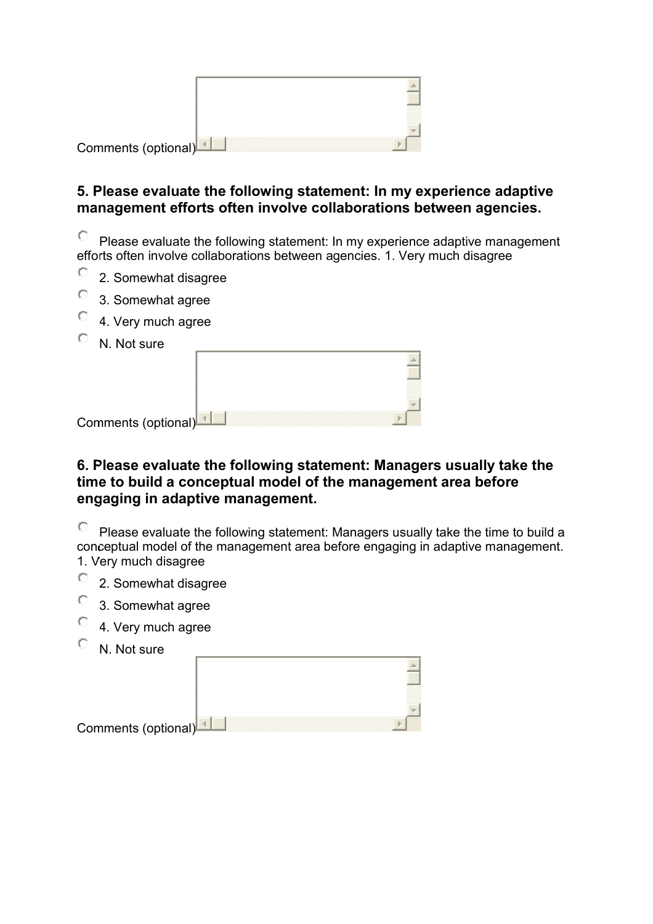| Comments (optional) |  |
|---------------------|--|
|                     |  |

### **5. Please evaluate the following statement: In my experience adaptive management efforts often involve collaborations between agencies.**

 $\circ$ Please evaluate the following statement: In my experience adaptive management efforts often involve collaborations between agencies. 1. Very much disagree

- 0 2. Somewhat disagree
- $\bigcirc$ 3. Somewhat agree
- $\circ$ 4. Very much agree
- $\bullet$ N. Not sure

| Comments (optional) |  |
|---------------------|--|

### **6. Please evaluate the following statement: Managers usually take the time to build a conceptual model of the management area before engaging in adaptive management.**

0 Please evaluate the following statement: Managers usually take the time to build a conceptual model of the management area before engaging in adaptive management. 1. Very much disagree

- $\circ$
- 2. Somewhat disagree
- $\circ$ 3. Somewhat agree
- $\circ$ 4. Very much agree
- N. Not sure

| Comments (optional) |
|---------------------|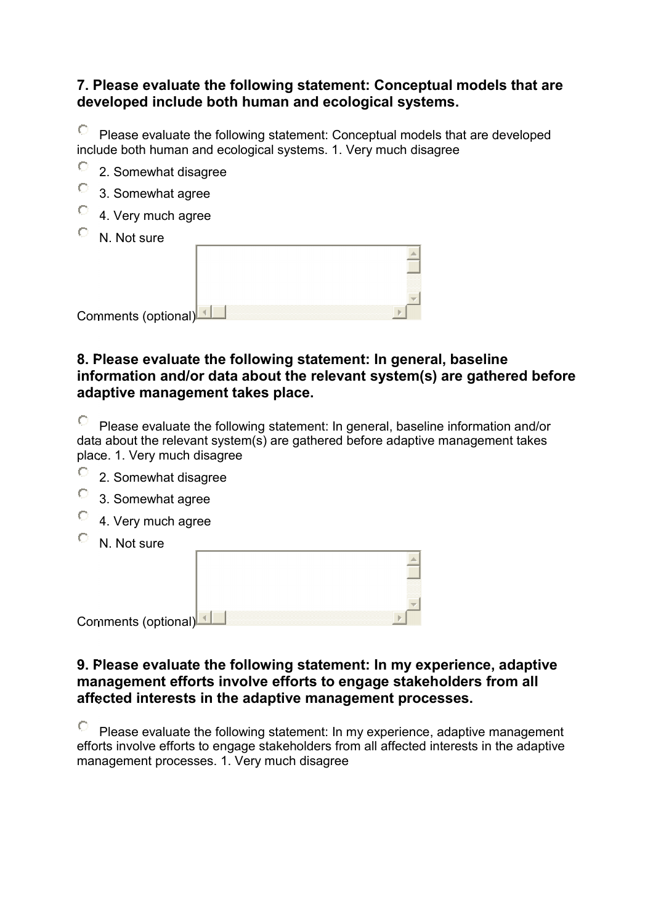### **7. Please evaluate the following statement: Conceptual models that are developed include both human and ecological systems.**

О Please evaluate the following statement: Conceptual models that are developed include both human and ecological systems. 1. Very much disagree

- О 2. Somewhat disagree
- О 3. Somewhat agree
- 0 4. Very much agree
- $\circ$ N. Not sure

| Comments (optional) |  |
|---------------------|--|

### **8. Please evaluate the following statement: In general, baseline information and/or data about the relevant system(s) are gathered before adaptive management takes place.**

О Please evaluate the following statement: In general, baseline information and/or data about the relevant system(s) are gathered before adaptive management takes place. 1. Very much disagree

the control of the control of the control of

- О 2. Somewhat disagree
- $\circ$ 3. Somewhat agree
- $\circ$ 4. Very much agree
- О N. Not sure

| Comments (optional)L |  |
|----------------------|--|

### **9. Please evaluate the following statement: In my experience, adaptive management efforts involve efforts to engage stakeholders from all affected interests in the adaptive management processes.**

Please evaluate the following statement: In my experience, adaptive management efforts involve efforts to engage stakeholders from all affected interests in the adaptive management processes. 1. Very much disagree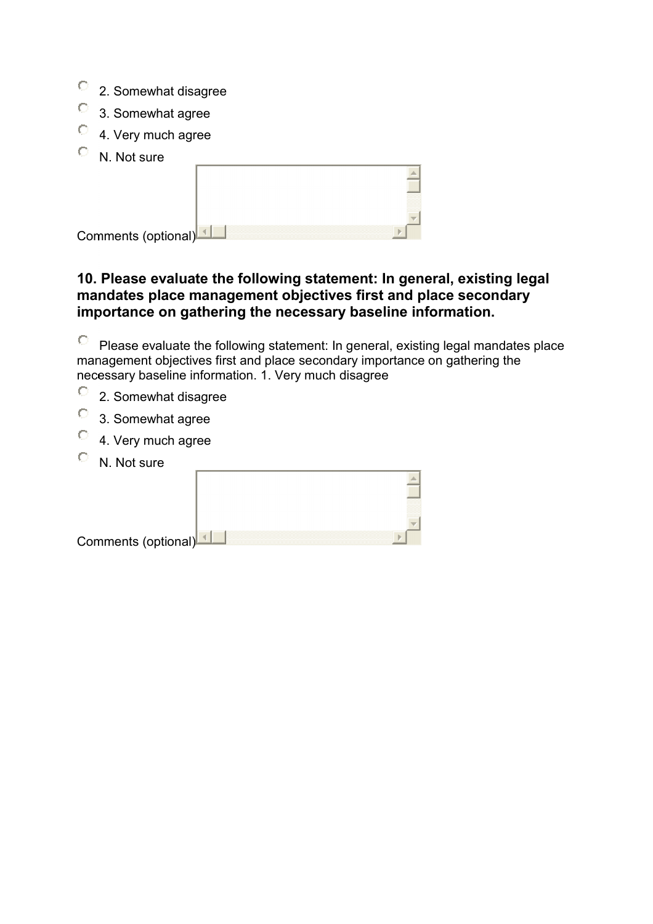- $\circ$ 2. Somewhat disagree
- $\bullet$ 3. Somewhat agree
- $\circ$ 4. Very much agree
- $\circ$ N. Not sure

| Comments (optional) |  |
|---------------------|--|
|                     |  |

### **10. Please evaluate the following statement: In general, existing legal mandates place management objectives first and place secondary importance on gathering the necessary baseline information.**

О Please evaluate the following statement: In general, existing legal mandates place management objectives first and place secondary importance on gathering the necessary baseline information. 1. Very much disagree

- $\circ$ 2. Somewhat disagree
- $\circ$ 3. Somewhat agree
- $\circ$ 4. Very much agree
- $\circ$ N. Not sure

| Comments (optional) |  |
|---------------------|--|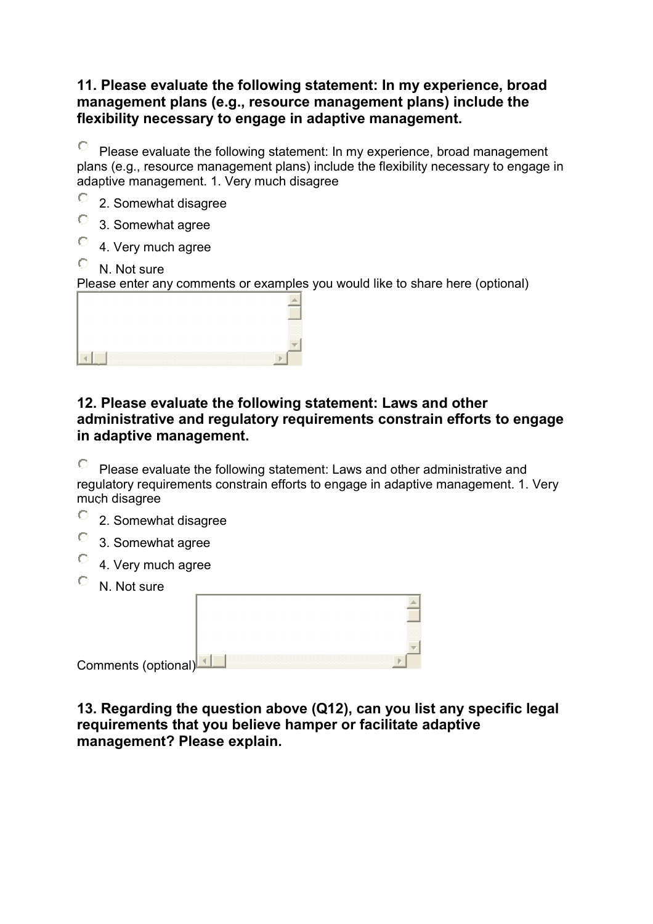### **11. Please evaluate the following statement: In my experience, broad management plans (e.g., resource management plans) include the flexibility necessary to engage in adaptive management.**

 $\circ$ Please evaluate the following statement: In my experience, broad management plans (e.g., resource management plans) include the flexibility necessary to engage in adaptive management. 1. Very much disagree

- О 2. Somewhat disagree
- О 3. Somewhat agree
- О 4. Very much agree

## N. Not sure

Please enter any comments or examples you would like to share here (optional)

| mmmm |
|------|
|      |
|      |

### **12. Please evaluate the following statement: Laws and other administrative and regulatory requirements constrain efforts to engage in adaptive management.**

0 Please evaluate the following statement: Laws and other administrative and regulatory requirements constrain efforts to engage in adaptive management. 1. Very much disagree

- $\circ$ 2. Somewhat disagree
- $\circ$ 3. Somewhat agree
- $\circ$ 4. Very much agree
- N. Not sure

| Comments (optional) |  |
|---------------------|--|

**13. Regarding the question above (Q12), can you list any specific legal requirements that you believe hamper or facilitate adaptive management? Please explain.**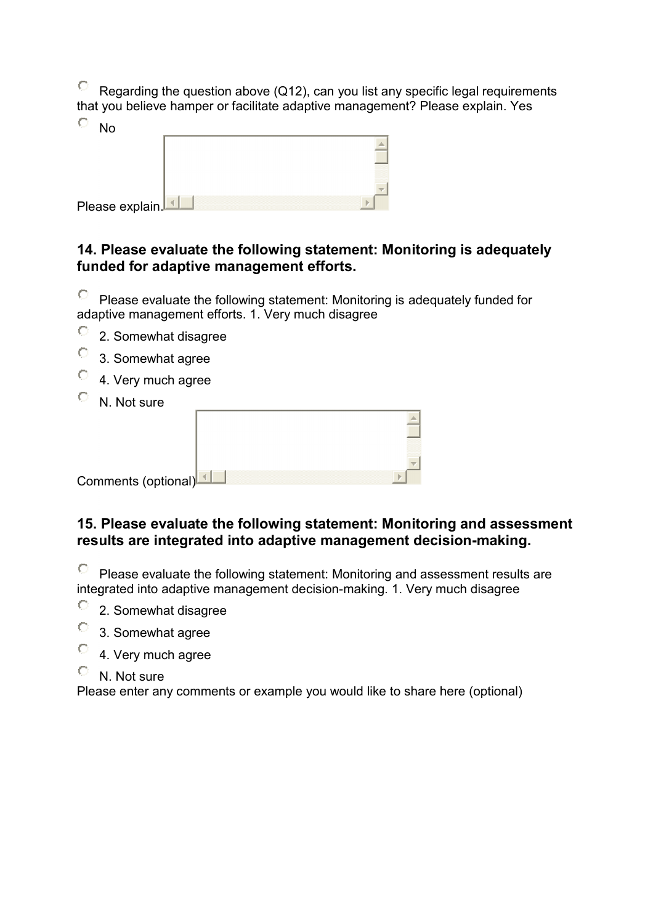О Regarding the question above (Q12), can you list any specific legal requirements that you believe hamper or facilitate adaptive management? Please explain. Yes

| No              |  |  |  |
|-----------------|--|--|--|
|                 |  |  |  |
|                 |  |  |  |
|                 |  |  |  |
|                 |  |  |  |
| Please explain. |  |  |  |

## **14. Please evaluate the following statement: Monitoring is adequately funded for adaptive management efforts.**

 $\circ$ Please evaluate the following statement: Monitoring is adequately funded for adaptive management efforts. 1. Very much disagree

- $\circ$ 2. Somewhat disagree
- $\circ$ 3. Somewhat agree
- $\circ$ 4. Very much agree
- N. Not sure

| Comments (optional)L |  |
|----------------------|--|

### **15. Please evaluate the following statement: Monitoring and assessment results are integrated into adaptive management decision-making.**

O Please evaluate the following statement: Monitoring and assessment results are integrated into adaptive management decision-making. 1. Very much disagree

- $\circ$ 2. Somewhat disagree
- О 3. Somewhat agree
- 4. Very much agree 0
- $\mathbb{O}^-$ N. Not sure

Please enter any comments or example you would like to share here (optional)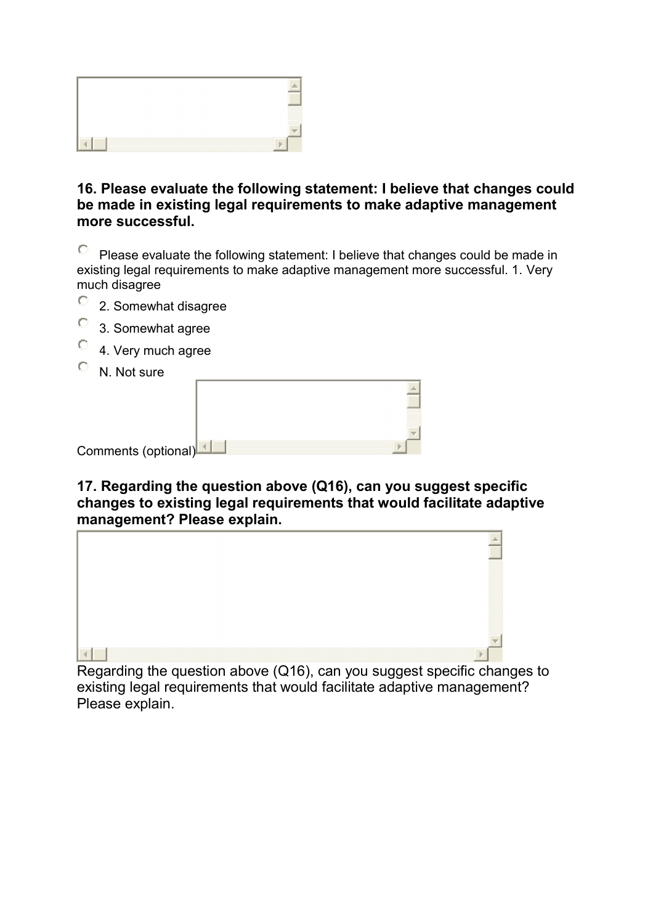

### **16. Please evaluate the following statement: I believe that changes could be made in existing legal requirements to make adaptive management more successful.**

О Please evaluate the following statement: I believe that changes could be made in existing legal requirements to make adaptive management more successful. 1. Very much disagree

- $\circ$ 2. Somewhat disagree
- О 3. Somewhat agree
- О 4. Very much agree
- $\circ$ N. Not sure

| IV. IVOL SUI <sub>C</sub> |  |
|---------------------------|--|
|                           |  |
|                           |  |
|                           |  |
|                           |  |
|                           |  |
| Comments (optional)       |  |

### **17. Regarding the question above (Q16), can you suggest specific changes to existing legal requirements that would facilitate adaptive management? Please explain.**



Regarding the question above (Q16), can you suggest specific changes to existing legal requirements that would facilitate adaptive management? Please explain.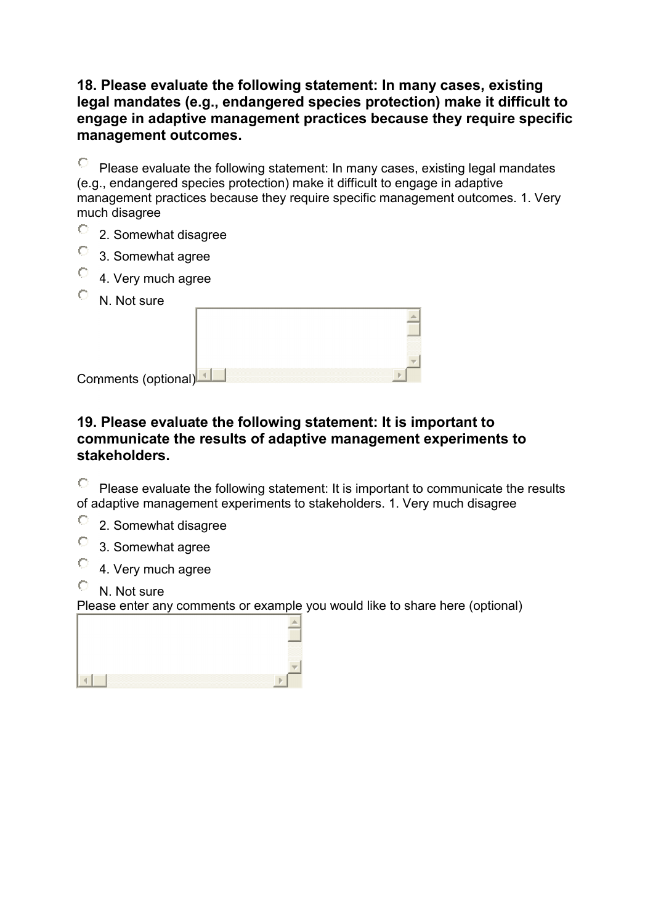### **18. Please evaluate the following statement: In many cases, existing legal mandates (e.g., endangered species protection) make it difficult to engage in adaptive management practices because they require specific management outcomes.**

О Please evaluate the following statement: In many cases, existing legal mandates (e.g., endangered species protection) make it difficult to engage in adaptive management practices because they require specific management outcomes. 1. Very much disagree

- $\circ$ 2. Somewhat disagree
- $\circ$ 3. Somewhat agree
- $\circ$ 4. Very much agree
- N. Not sure

| Comments (optional)L |  |
|----------------------|--|

### **19. Please evaluate the following statement: It is important to communicate the results of adaptive management experiments to stakeholders.**

O Please evaluate the following statement: It is important to communicate the results of adaptive management experiments to stakeholders. 1. Very much disagree

- $\circ$ 2. Somewhat disagree
- $\circ$ 3. Somewhat agree
- $\circ$ 4. Very much agree
- O N. Not sure

Please enter any comments or example you would like to share here (optional)

| -------------<br>,,,,,,,,,,<br>mmmm<br><br>mmmmm |
|--------------------------------------------------|
| mmmm<br>,,,,,,,,,,,,                             |
|                                                  |
|                                                  |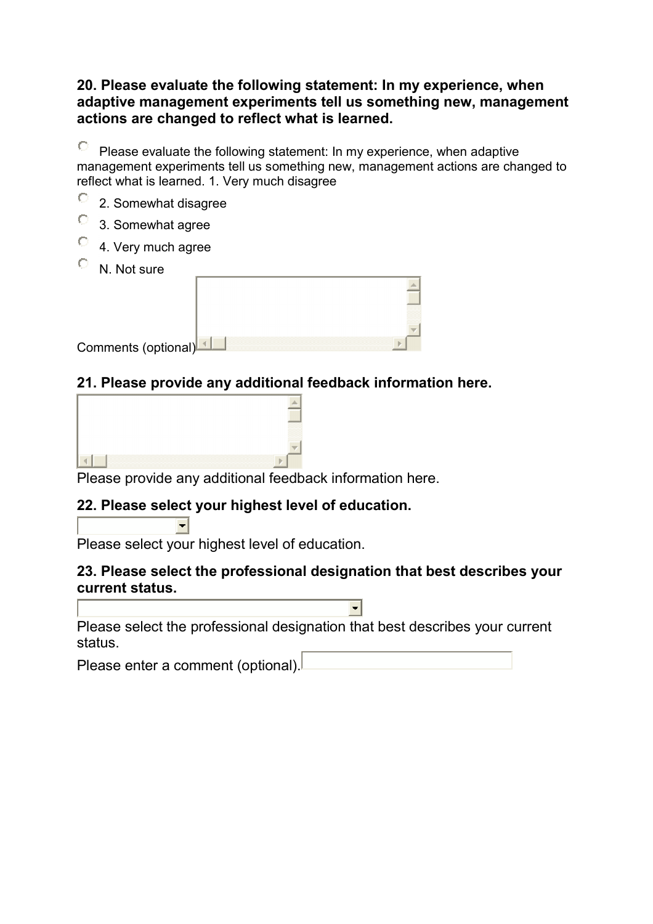### **20. Please evaluate the following statement: In my experience, when adaptive management experiments tell us something new, management actions are changed to reflect what is learned.**

 $\circ$ Please evaluate the following statement: In my experience, when adaptive management experiments tell us something new, management actions are changed to reflect what is learned. 1. Very much disagree

- $\circ$ 2. Somewhat disagree
- $\circ$ 3. Somewhat agree
- $\circ$ 4. Very much agree
- О N. Not sure

| Comments (optional)L |  |
|----------------------|--|

# **21. Please provide any additional feedback information here.**

| D                                                       |  |
|---------------------------------------------------------|--|
|                                                         |  |
|                                                         |  |
| Dlogge provide any additional feadbook information hard |  |

Please provide any additional feedback information here.

# **22. Please select your highest level of education.**

Please select your highest level of education.

 $\left| - \right|$ 

### **23. Please select the professional designation that best describes your current status.**

 $\blacksquare$ 

Please select the professional designation that best describes your current status.

Please enter a comment (optional).